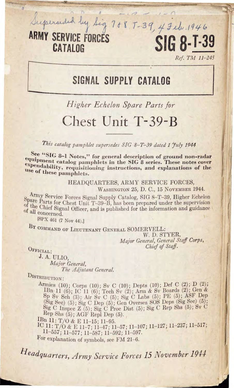

Ref. TM 11-245

## SIGNAL SUPPLY CATALOG

## Higher Echelon Spare Parts for

## Chest Unit T-39-B

This catalog pamphlet supersedes SIG 8-T-39 dated 1 July 1944

See "SIG 8-1 Notes," for general description of ground non-radar equipment catalog pamphlets in the SIG 8 series. These notes cover expendability, requisitioning instructions, and explanations of the use of these pamphlets.

> HEADQUARTERS, ARMY SERVICE FORCES, WASHINGTON 25, D. C., 15 NOVEMBER 1944.

Army Service Forces Signal Supply Catalog, SIG 8-T-39, Higher Echelon Spare Parts for Chest Unit T-39-B, has been prepared under the supervision of the Chief Signal Officer, and is published for the information and guidance of all concerned.

[SPX 461 (7 Nov 44).]

BY COMMAND OF LIEUTENANT GENERAL SOMERVELL:

W. D. STYER, Major General, General Staff Corps, Chief of Staff.

OFFICIAL:

 $\overline{a}$ 

J. A. ULIO. Major General, The Adjutant General.

DISTRIBUTION:

Armies (10); Corps (10); Sv C (10); Depts (10); Def C (2); D (2);<br>
IBn 11 (6); IC 11 (6); Tech Sv (2); Arm & Sv Boards (2); Gen &<br>
Sp Sv Sch (3); Air Sv C (5); Sig C Labs (5); PE (5); ASF Dep<br>
(Sig Sec) (5); Sig C Dep (5);

IBn 11: T/O & E 11-15; 11-95.

IC 11: T/O & E 11-7; 11-47; 11-57; 11-107; 11-127; 11-237; 11-517;<br>11-557; 11-577; 11-587; 11-592; 11-597.

For explanation of symbols, see FM 21-6.

Headquarters, Army Service Forces 15 November 1944